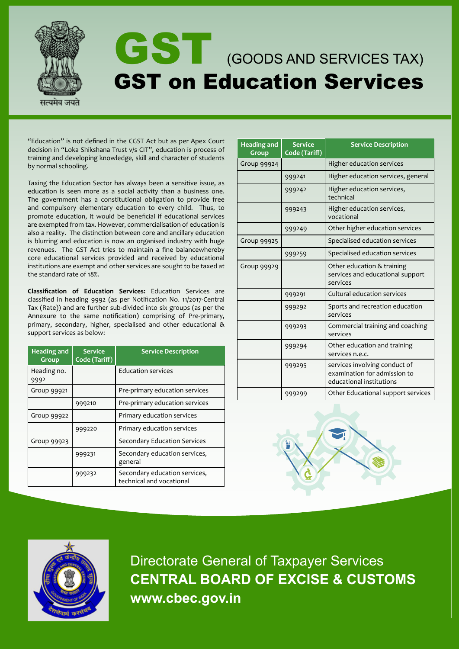

"Education" is not defined in the CGST Act but as per Apex Court decision in "Loka Shikshana Trust v/s CIT", education is process of training and developing knowledge, skill and character of students by normal schooling.

Taxing the Education Sector has always been a sensitive issue, as education is seen more as a social activity than a business one. The government has a constitutional obligation to provide free and compulsory elementary education to every child. Thus, to promote education, it would be beneficial if educational services are exempted from tax. However, commercialisation of education is also a reality. The distinction between core and ancillary education is blurring and education is now an organised industry with huge revenues. The GST Act tries to maintain a fine balancewhereby core educational services provided and received by educational institutions are exempt and other services are sought to be taxed at the standard rate of 18%.

**Classification of Education Services:** Education Services are classified in heading 9992 (as per Notification No. 11/2017-Central Tax (Rate)) and are further sub-divided into six groups (as per the Annexure to the same notification) comprising of Pre-primary, primary, secondary, higher, specialised and other educational & support services as below:

| <b>Heading and</b><br>Group | <b>Service</b><br>Code (Tariff) | <b>Service Description</b>                                |  |
|-----------------------------|---------------------------------|-----------------------------------------------------------|--|
| Heading no.<br>9992         |                                 | <b>Education services</b>                                 |  |
| Group 99921                 |                                 | Pre-primary education services                            |  |
|                             | 999210                          | Pre-primary education services                            |  |
| Group 99922                 |                                 | Primary education services                                |  |
|                             | 999220                          | Primary education services                                |  |
| Group 99923                 |                                 | Secondary Education Services                              |  |
|                             | 999231                          | Secondary education services,<br>general                  |  |
|                             | 999232                          | Secondary education services,<br>technical and vocational |  |

| <b>Heading and</b><br>Group | <b>Service</b><br>Code (Tariff) | <b>Service Description</b>                                                                |  |
|-----------------------------|---------------------------------|-------------------------------------------------------------------------------------------|--|
| Group 99924                 |                                 | Higher education services                                                                 |  |
|                             | 999241                          | Higher education services, general                                                        |  |
|                             | 999242                          | Higher education services,<br>technical                                                   |  |
|                             | 999243                          | Higher education services,<br>vocational                                                  |  |
|                             | 999249                          | Other higher education services                                                           |  |
| <b>Group 99925</b>          |                                 | Specialised education services                                                            |  |
|                             | 999259                          | Specialised education services                                                            |  |
| Group 99929                 |                                 | Other education & training<br>services and educational support<br>services                |  |
|                             | 999291                          | Cultural education services                                                               |  |
|                             | 999292                          | Sports and recreation education<br>services                                               |  |
|                             | 999293                          | Commercial training and coaching<br>services                                              |  |
|                             | 999294                          | Other education and training<br>services n.e.c.                                           |  |
|                             | 999295                          | services involving conduct of<br>examination for admission to<br>educational institutions |  |
|                             | 999299                          | Other Educational support services                                                        |  |





Directorate General of Taxpayer Services **CENTRAL BOARD OF EXCISE & CUSTOMS www.cbec.gov.in**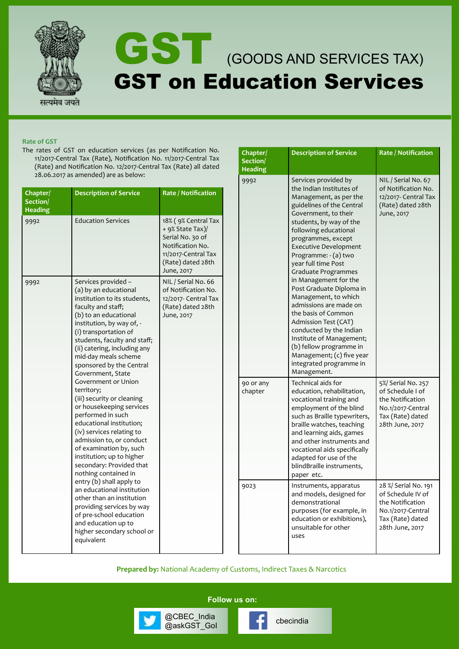

# GST (GOODS AND SERVICES TAX) GST on Education Services

## **Rate of GST**

The rates of GST on education services (as per Notification No. 11/2017-Central Tax (Rate), Notification No. 11/2017-Central Tax (Rate) and Notification No. 12/2017-Central Tax (Rate) all dated 28.06.2017 as amended) are as below:

| Chapter/<br>Section/<br><b>Heading</b> | <b>Description of Service</b>                                                                                                                                                                                                                                                                                              | Rate / Notification                                                                                                                       |                      | th<br>M<br>gι<br>G                                                   |
|----------------------------------------|----------------------------------------------------------------------------------------------------------------------------------------------------------------------------------------------------------------------------------------------------------------------------------------------------------------------------|-------------------------------------------------------------------------------------------------------------------------------------------|----------------------|----------------------------------------------------------------------|
| 9992                                   | <b>Education Services</b>                                                                                                                                                                                                                                                                                                  | 18% (9% Central Tax<br>+ 9% State Tax)/<br>Serial No. 30 of<br>Notification No.<br>11/2017-Central Tax<br>(Rate) dated 28th<br>June, 2017 |                      | st<br>fo<br>pr<br>Ex<br>Pr<br>ye<br>Gr                               |
| 9992                                   | Services provided -<br>(a) by an educational<br>institution to its students,<br>faculty and staff;<br>(b) to an educational<br>institution, by way of, -<br>(i) transportation of<br>students, faculty and staff;<br>(ii) catering, including any<br>mid-day meals scheme<br>sponsored by the Central<br>Government, State | NIL / Serial No. 66<br>of Notification No.<br>12/2017- Central Tax<br>(Rate) dated 28th<br>June, 2017                                     |                      | in<br>Po<br>M<br>ac<br>th<br>A<br>CC<br>In<br>(b<br>M<br>in<br>M     |
|                                        | Government or Union<br>territory;<br>(iii) security or cleaning<br>or housekeeping services<br>performed in such<br>educational institution;<br>(iv) services relating to<br>admission to, or conduct<br>of examination by, such<br>institution; up to higher<br>secondary: Provided that<br>nothing contained in          |                                                                                                                                           | 90 or any<br>chapter | Te<br>ec<br>VC<br>er<br>SU<br>br<br>ar<br>ar<br>VC<br>ac<br>bl<br>pa |
|                                        | entry (b) shall apply to<br>an educational institution<br>other than an institution<br>providing services by way<br>of pre-school education<br>and education up to<br>higher secondary school or<br>equivalent                                                                                                             |                                                                                                                                           | 9023                 | In<br>ar<br>de<br>pι<br>ec<br>ur<br><b>us</b>                        |

| Chapter/<br>Section/<br><b>Heading</b> | <b>Description of Service</b>                                                                                                                                                                                                                                                                                                                                                                                                                                                                                                                                                                                                  | <b>Rate / Notification</b>                                                                                                |
|----------------------------------------|--------------------------------------------------------------------------------------------------------------------------------------------------------------------------------------------------------------------------------------------------------------------------------------------------------------------------------------------------------------------------------------------------------------------------------------------------------------------------------------------------------------------------------------------------------------------------------------------------------------------------------|---------------------------------------------------------------------------------------------------------------------------|
| 9992                                   | Services provided by<br>the Indian Institutes of<br>Management, as per the<br>guidelines of the Central<br>Government, to their<br>students, by way of the<br>following educational<br>programmes, except<br><b>Executive Development</b><br>Programme: - (a) two<br>year full time Post<br>Graduate Programmes<br>in Management for the<br>Post Graduate Diploma in<br>Management, to which<br>admissions are made on<br>the basis of Common<br>Admission Test (CAT)<br>conducted by the Indian<br>Institute of Management;<br>(b) fellow programme in<br>Management; (c) five year<br>integrated programme in<br>Management. | NIL / Serial No. 67<br>of Notification No.<br>12/2017- Central Tax<br>(Rate) dated 28th<br>June, 2017                     |
| 90 or any<br>chapter                   | Technical aids for<br>education, rehabilitation,<br>vocational training and<br>employment of the blind<br>such as Braille typewriters,<br>braille watches, teaching<br>and learning aids, games<br>and other instruments and<br>vocational aids specifically<br>adapted for use of the<br>blindBraille instruments,<br>paper etc.                                                                                                                                                                                                                                                                                              | 5%/ Serial No. 257<br>of Schedule I of<br>the Notification<br>No.1/2017-Central<br>Tax (Rate) dated<br>28th June, 2017    |
| 9023                                   | Instruments, apparatus<br>and models, designed for<br>demonstrational<br>purposes (for example, in<br>education or exhibitions),<br>unsuitable for other<br>uses                                                                                                                                                                                                                                                                                                                                                                                                                                                               | 28 %/ Serial No. 191<br>of Schedule IV of<br>the Notification<br>No.1/2017-Central<br>Tax (Rate) dated<br>28th June, 2017 |

**Prepared by:** National Academy of Customs, Indirect Taxes & Narcotics

**Follow us on:**

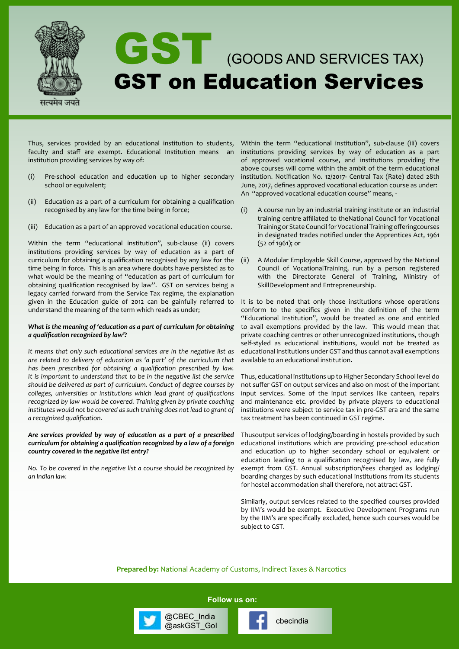

Thus, services provided by an educational institution to students, faculty and staff are exempt. Educational Institution means an institution providing services by way of:

- (i) Pre-school education and education up to higher secondary school or equivalent;
- (ii) Education as a part of a curriculum for obtaining a qualification recognised by any law for the time being in force;
- (iii) Education as a part of an approved vocational education course.

Within the term "educational institution", sub-clause (ii) covers institutions providing services by way of education as a part of curriculum for obtaining a qualification recognised by any law for the time being in force. This is an area where doubts have persisted as to what would be the meaning of "education as part of curriculum for obtaining qualification recognised by law". GST on services being a legacy carried forward from the Service Tax regime, the explanation given in the Education guide of 2012 can be gainfully referred to understand the meaning of the term which reads as under;

#### *What is the meaning of 'education as a part of curriculum for obtaining a qualification recognized by law'?*

*It means that only such educational services are in the negative list as are related to delivery of education as 'a part' of the curriculum that has been prescribed for obtaining a qualification prescribed by law. It is important to understand that to be in the negative list the service should be delivered as part of curriculum. Conduct of degree courses by colleges, universities or institutions which lead grant of qualifications recognized by law would be covered. Training given by private coaching*  institutes would not be covered as such training does not lead to grant of *a recognized qualification.*

## *Are services provided by way of education as a part of a prescribed curriculum for obtaining a qualification recognized by a law of a foreign country covered in the negative list entry?*

*No. To be covered in the negative list a course should be recognized by an Indian law.*

Within the term "educational institution", sub-clause (iii) covers institutions providing services by way of education as a part of approved vocational course, and institutions providing the above courses will come within the ambit of the term educational institution. Notification No. 12/2017- Central Tax (Rate) dated 28th June, 2017, defines approved vocational education course as under: An "approved vocational education course" means, -

- (i) A course run by an industrial training institute or an industrial training centre affiliated to theNational Council for Vocational Training or State Council for Vocational Training offeringcourses in designated trades notified under the Apprentices Act, 1961 (52 of 1961); or
- (ii) A Modular Employable Skill Course, approved by the National Council of VocationalTraining, run by a person registered with the Directorate General of Training, Ministry of SkillDevelopment and Entrepreneurship.

It is to be noted that only those institutions whose operations conform to the specifics given in the definition of the term "Educational Institution", would be treated as one and entitled to avail exemptions provided by the law. This would mean that private coaching centres or other unrecognized institutions, though self-styled as educational institutions, would not be treated as educational institutions under GST and thus cannot avail exemptions available to an educational institution.

Thus, educational institutions up to Higher Secondary School level do not suffer GST on output services and also on most of the important input services. Some of the input services like canteen, repairs and maintenance etc. provided by private players to educational institutions were subject to service tax in pre-GST era and the same tax treatment has been continued in GST regime.

Thusoutput services of lodging/boarding in hostels provided by such educational institutions which are providing pre-school education and education up to higher secondary school or equivalent or education leading to a qualification recognised by law, are fully exempt from GST. Annual subscription/fees charged as lodging/ boarding charges by such educational institutions from its students for hostel accommodation shall therefore, not attract GST.

Similarly, output services related to the specified courses provided by IIM's would be exempt. Executive Development Programs run by the IIM's are specifically excluded, hence such courses would be subject to GST.

**Prepared by:** National Academy of Customs, Indirect Taxes & Narcotics

**Follow us on:**

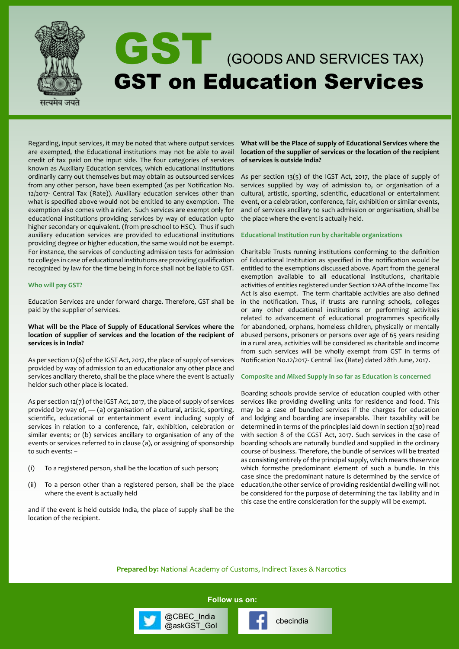

Regarding, input services, it may be noted that where output services are exempted, the Educational institutions may not be able to avail credit of tax paid on the input side. The four categories of services known as Auxiliary Education services, which educational institutions ordinarily carry out themselves but may obtain as outsourced services from any other person, have been exempted (as per Notification No. 12/2017- Central Tax (Rate)). Auxiliary education services other than what is specified above would not be entitled to any exemption. The exemption also comes with a rider. Such services are exempt only for educational institutions providing services by way of education upto higher secondary or equivalent. (from pre-school to HSC). Thus if such auxiliary education services are provided to educational institutions providing degree or higher education, the same would not be exempt. For instance, the services of conducting admission tests for admission to colleges in case of educational institutions are providing qualification recognized by law for the time being in force shall not be liable to GST.

#### **Who will pay GST?**

Education Services are under forward charge. Therefore, GST shall be paid by the supplier of services.

## **What will be the Place of Supply of Educational Services where the location of supplier of services and the location of the recipient of services is in India?**

As per section 12(6) of the IGST Act, 2017, the place of supply of services provided by way of admission to an educationalor any other place and services ancillary thereto, shall be the place where the event is actually heldor such other place is located.

As per section 12(7) of the IGST Act, 2017, the place of supply of services provided by way of,  $-$  (a) organisation of a cultural, artistic, sporting, scientific, educational or entertainment event including supply of services in relation to a conference, fair, exhibition, celebration or similar events; or (b) services ancillary to organisation of any of the events or services referred to in clause (a), or assigning of sponsorship to such events: –

- (i) To a registered person, shall be the location of such person;
- (ii) To a person other than a registered person, shall be the place where the event is actually held

and if the event is held outside India, the place of supply shall be the location of the recipient.

#### **What will be the Place of supply of Educational Services where the location of the supplier of services or the location of the recipient of services is outside India?**

As per section 13(5) of the IGST Act, 2017, the place of supply of services supplied by way of admission to, or organisation of a cultural, artistic, sporting, scientific, educational or entertainment event, or a celebration, conference, fair, exhibition or similar events, and of services ancillary to such admission or organisation, shall be the place where the event is actually held.

#### **Educational Institution run by charitable organizations**

Charitable Trusts running institutions conforming to the definition of Educational Institution as specified in the notification would be entitled to the exemptions discussed above. Apart from the general exemption available to all educational institutions, charitable activities of entities registered under Section 12AA of the Income Tax Act is also exempt. The term charitable activities are also defined in the notification. Thus, if trusts are running schools, colleges or any other educational institutions or performing activities related to advancement of educational programmes specifically for abandoned, orphans, homeless children, physically or mentally abused persons, prisoners or persons over age of 65 years residing in a rural area, activities will be considered as charitable and income from such services will be wholly exempt from GST in terms of Notification No.12/2017- Central Tax (Rate) dated 28th June, 2017.

#### **Composite and Mixed Supply in so far as Education is concerned**

Boarding schools provide service of education coupled with other services like providing dwelling units for residence and food. This may be a case of bundled services if the charges for education and lodging and boarding are inseparable. Their taxability will be determined in terms of the principles laid down in section 2(30) read with section 8 of the CGST Act, 2017. Such services in the case of boarding schools are naturally bundled and supplied in the ordinary course of business. Therefore, the bundle of services will be treated as consisting entirely of the principal supply, which means theservice which formsthe predominant element of such a bundle. In this case since the predominant nature is determined by the service of education,the other service of providing residential dwelling will not be considered for the purpose of determining the tax liability and in this case the entire consideration for the supply will be exempt.

**Prepared by:** National Academy of Customs, Indirect Taxes & Narcotics

**Follow us on:**

@CBEC\_India<br>@askGST\_GoI control cbecindia

@CBEC\_India